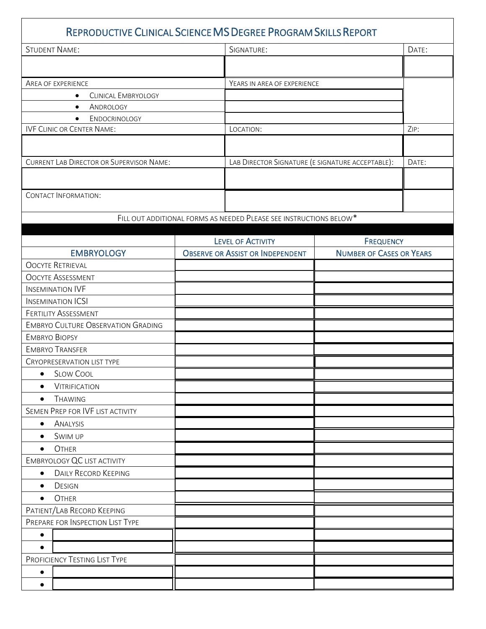| REPRODUCTIVE CLINICAL SCIENCE MS DEGREE PROGRAM SKILLS REPORT |                                         |                                                                    |                  |                                 |  |
|---------------------------------------------------------------|-----------------------------------------|--------------------------------------------------------------------|------------------|---------------------------------|--|
| <b>STUDENT NAME:</b>                                          |                                         | SIGNATURE:                                                         |                  | DATE:                           |  |
|                                                               |                                         |                                                                    |                  |                                 |  |
| <b>AREA OF EXPERIENCE</b>                                     |                                         | YEARS IN AREA OF EXPERIENCE                                        |                  |                                 |  |
| <b>CLINICAL EMBRYOLOGY</b><br>$\bullet$                       |                                         |                                                                    |                  |                                 |  |
| ANDROLOGY<br>$\bullet$                                        |                                         |                                                                    |                  |                                 |  |
| ENDOCRINOLOGY<br>$\bullet$                                    |                                         |                                                                    |                  |                                 |  |
| <b>IVF CLINIC OR CENTER NAME:</b>                             |                                         | LOCATION:                                                          |                  | ZIP:                            |  |
|                                                               |                                         |                                                                    |                  |                                 |  |
| <b>CURRENT LAB DIRECTOR OR SUPERVISOR NAME:</b>               |                                         | LAB DIRECTOR SIGNATURE (E SIGNATURE ACCEPTABLE):                   |                  | DATE:                           |  |
|                                                               |                                         |                                                                    |                  |                                 |  |
| <b>CONTACT INFORMATION:</b>                                   |                                         |                                                                    |                  |                                 |  |
|                                                               |                                         |                                                                    |                  |                                 |  |
|                                                               |                                         | FILL OUT ADDITIONAL FORMS AS NEEDED PLEASE SEE INSTRUCTIONS BELOW* |                  |                                 |  |
|                                                               |                                         | <b>LEVEL OF ACTIVITY</b>                                           | <b>FREQUENCY</b> |                                 |  |
| <b>EMBRYOLOGY</b>                                             | <b>OBSERVE OR ASSIST OR INDEPENDENT</b> |                                                                    |                  | <b>NUMBER OF CASES OR YEARS</b> |  |
| <b>OOCYTE RETRIEVAL</b>                                       |                                         |                                                                    |                  |                                 |  |
| <b>OOCYTE ASSESSMENT</b>                                      |                                         |                                                                    |                  |                                 |  |
| <b>INSEMINATION IVF</b>                                       |                                         |                                                                    |                  |                                 |  |
| <b>INSEMINATION ICSI</b>                                      |                                         |                                                                    |                  |                                 |  |
| <b>FERTILITY ASSESSMENT</b>                                   |                                         |                                                                    |                  |                                 |  |
| <b>EMBRYO CULTURE OBSERVATION GRADING</b>                     |                                         |                                                                    |                  |                                 |  |
| <b>EMBRYO BIOPSY</b>                                          |                                         |                                                                    |                  |                                 |  |
| <b>EMBRYO TRANSFER</b>                                        |                                         |                                                                    |                  |                                 |  |
| <b>CRYOPRESERVATION LIST TYPE</b>                             |                                         |                                                                    |                  |                                 |  |
| • SLOW COOL                                                   |                                         |                                                                    |                  |                                 |  |
| <b>VITRIFICATION</b><br>٠                                     |                                         |                                                                    |                  |                                 |  |
| <b>THAWING</b><br>$\bullet$                                   |                                         |                                                                    |                  |                                 |  |
| SEMEN PREP FOR IVF LIST ACTIVITY                              |                                         |                                                                    |                  |                                 |  |
| ANALYSIS<br>$\bullet$                                         |                                         |                                                                    |                  |                                 |  |
| SWIM UP<br>$\bullet$                                          |                                         |                                                                    |                  |                                 |  |
| OTHER<br>$\bullet$                                            |                                         |                                                                    |                  |                                 |  |
| <b>EMBRYOLOGY QC LIST ACTIVITY</b>                            |                                         |                                                                    |                  |                                 |  |
| <b>DAILY RECORD KEEPING</b><br>$\bullet$                      |                                         |                                                                    |                  |                                 |  |
| <b>DESIGN</b><br>$\bullet$                                    |                                         |                                                                    |                  |                                 |  |
| OTHER<br>٠                                                    |                                         |                                                                    |                  |                                 |  |
| PATIENT/LAB RECORD KEEPING                                    |                                         |                                                                    |                  |                                 |  |
| PREPARE FOR INSPECTION LIST TYPE                              |                                         |                                                                    |                  |                                 |  |
|                                                               |                                         |                                                                    |                  |                                 |  |
| $\bullet$                                                     |                                         |                                                                    |                  |                                 |  |
| $\bullet$                                                     |                                         |                                                                    |                  |                                 |  |
| PROFICIENCY TESTING LIST TYPE                                 |                                         |                                                                    |                  |                                 |  |
| $\bullet$                                                     |                                         |                                                                    |                  |                                 |  |
| $\bullet$                                                     |                                         |                                                                    |                  |                                 |  |